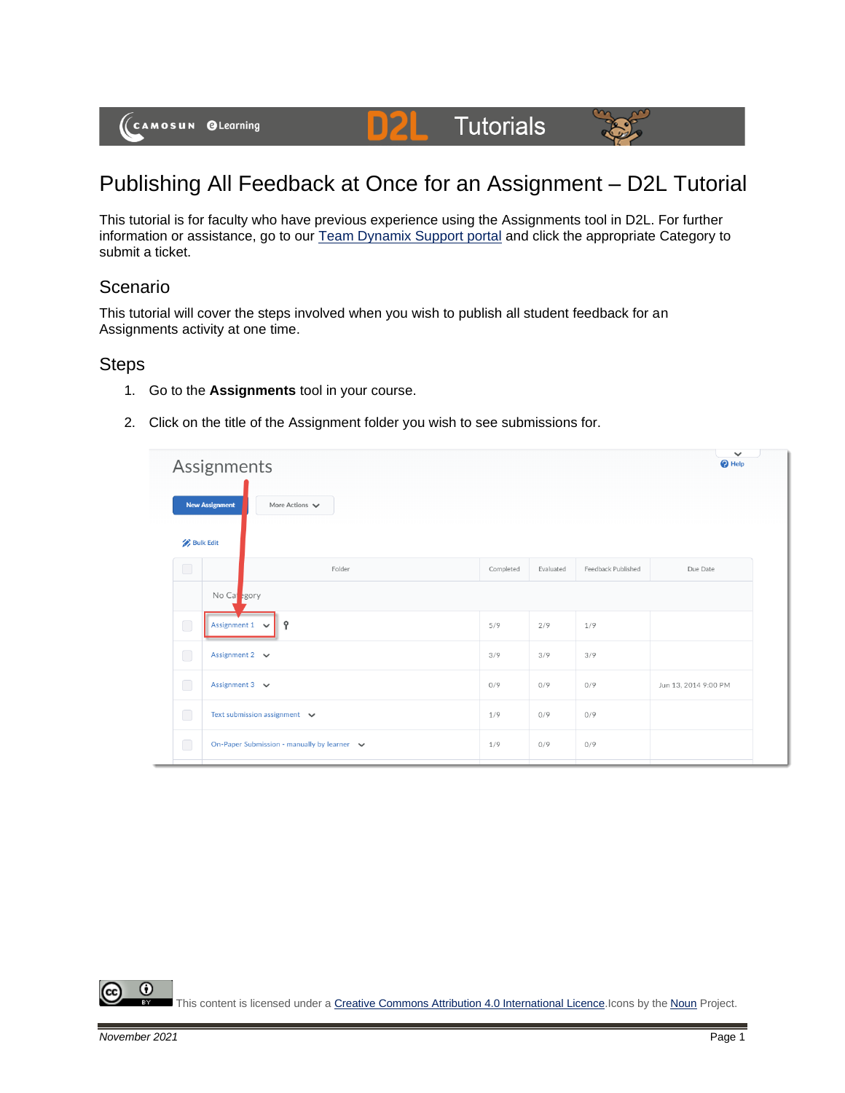

# **Tutorials**

## Publishing All Feedback at Once for an Assignment – D2L Tutorial

This tutorial is for faculty who have previous experience using the Assignments tool in D2L. For further information or assistance, go to our [Team Dynamix Support portal](https://camosun.teamdynamix.com/TDClient/67/Portal/Requests/ServiceCatalog?CategoryID=523) and click the appropriate Category to submit a ticket.

#### Scenario

This tutorial will cover the steps involved when you wish to publish all student feedback for an Assignments activity at one time.

DŽ

#### **Steps**

- 1. Go to the **Assignments** tool in your course.
- 2. Click on the title of the Assignment folder you wish to see submissions for.

| Assignments      |                                                             |           |           |                    |                      |  |  |  |  |  |  |
|------------------|-------------------------------------------------------------|-----------|-----------|--------------------|----------------------|--|--|--|--|--|--|
|                  | <b>New Assignment</b><br>More Actions $\blacktriangleright$ |           |           |                    |                      |  |  |  |  |  |  |
| <b>Bulk Edit</b> |                                                             |           |           |                    |                      |  |  |  |  |  |  |
| $\bigcirc$       | Folder                                                      | Completed | Evaluated | Feedback Published | Due Date             |  |  |  |  |  |  |
|                  | No Capegory                                                 |           |           |                    |                      |  |  |  |  |  |  |
| $\bigcirc$       | Assignment $1 \quad \vee$<br>Ŷ                              | 5/9       | 2/9       | 1/9                |                      |  |  |  |  |  |  |
| $\Box$           | Assignment 2 $\vee$                                         | 3/9       | 3/9       | 3/9                |                      |  |  |  |  |  |  |
| $\bigcirc$       | Assignment $3 \quad \vee$                                   | 0/9       | 0/9       | 0/9                | Jun 13, 2014 9:00 PM |  |  |  |  |  |  |
| $\bigcirc$       | Text submission assignment $\vee$                           | 1/9       | 0/9       | 0/9                |                      |  |  |  |  |  |  |
| $\bigcirc$       | On-Paper Submission - manually by learner v                 | 1/9       | 0/9       | 0/9                |                      |  |  |  |  |  |  |

⋒ This content is licensed under [a Creative Commons Attribution 4.0 International Licence.I](https://creativecommons.org/licenses/by/4.0/)cons by the [Noun](https://creativecommons.org/website-icons/) Project.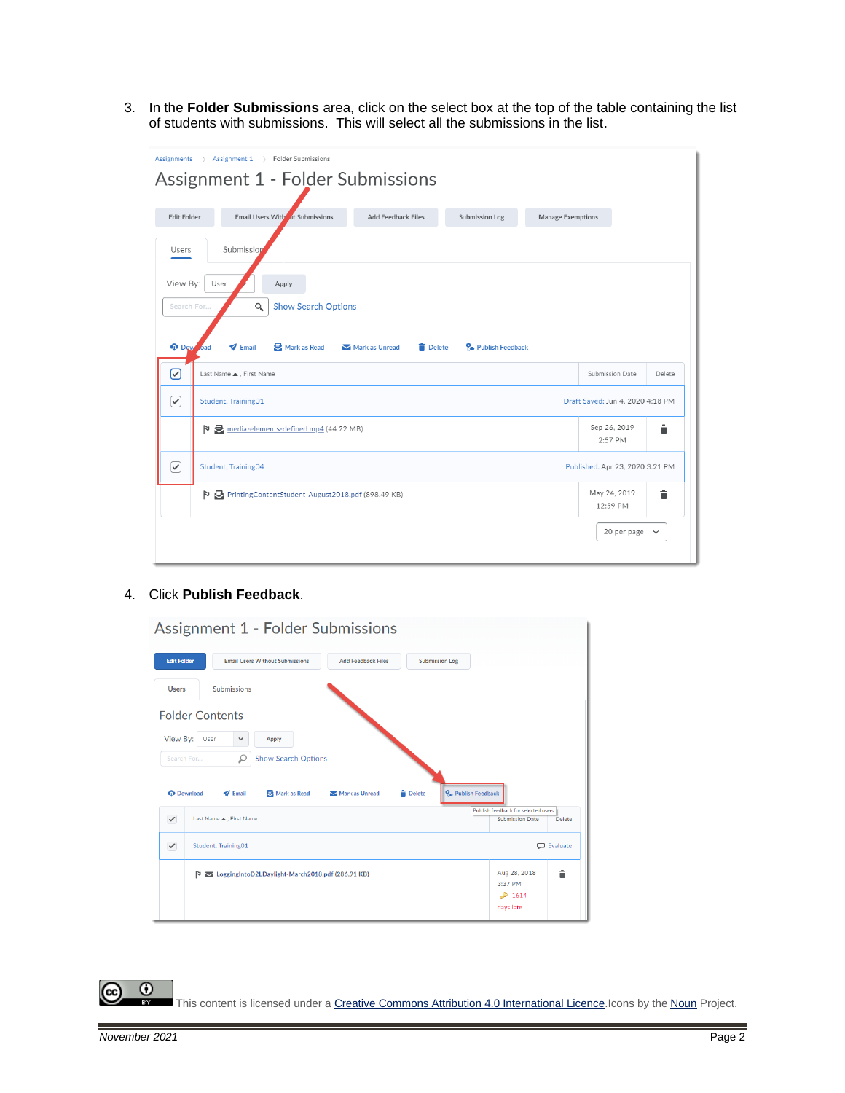3. In the **Folder Submissions** area, click on the select box at the top of the table containing the list of students with submissions. This will select all the submissions in the list.

| Assignments                                                                                                                                                                                                                  | > Assignment 1 > Folder Submissions<br>Assignment 1 - Folder Submissions |                           |                       |                   |                          |        |  |  |  |
|------------------------------------------------------------------------------------------------------------------------------------------------------------------------------------------------------------------------------|--------------------------------------------------------------------------|---------------------------|-----------------------|-------------------|--------------------------|--------|--|--|--|
| <b>Edit Folder</b>                                                                                                                                                                                                           | Email Users With at Submissions                                          | <b>Add Feedback Files</b> | <b>Submission Log</b> | Manage Exemptions |                          |        |  |  |  |
| Users                                                                                                                                                                                                                        | Submission                                                               |                           |                       |                   |                          |        |  |  |  |
| View By:<br>User<br>Apply<br><b>Show Search Options</b><br>Search For<br>Q<br><b>O</b> Dow<br>$\blacktriangledown$ Email<br>Mark as Read<br><b>Delete</b><br>P <sub>o</sub> Publish Feedback<br>Mark as Unread<br><b>bad</b> |                                                                          |                           |                       |                   |                          |        |  |  |  |
| ☑                                                                                                                                                                                                                            | Last Name ▲ . First Name                                                 |                           |                       |                   | Submission Date          | Delete |  |  |  |
| $\curvearrowright$                                                                                                                                                                                                           | Student, Training01<br>Draft Saved: Jun 4, 2020 4:18 PM                  |                           |                       |                   |                          |        |  |  |  |
| media-elements-defined.mp4 (44.22 MB)                                                                                                                                                                                        |                                                                          | Sep 26, 2019<br>2:57 PM   | Ê                     |                   |                          |        |  |  |  |
| ✓                                                                                                                                                                                                                            | Student, Training04<br>Published: Apr 23, 2020 3:21 PM                   |                           |                       |                   |                          |        |  |  |  |
| P PrintingContentStudent-August2018.pdf (898.49 KB)                                                                                                                                                                          |                                                                          |                           |                       |                   | May 24, 2019<br>12:59 PM | î      |  |  |  |
|                                                                                                                                                                                                                              |                                                                          |                           |                       |                   | 20 per page $\vee$       |        |  |  |  |

#### 4. Click **Publish Feedback**.

| Assignment 1 - Folder Submissions                                                                                         |                                                               |               |  |  |  |  |  |  |  |  |
|---------------------------------------------------------------------------------------------------------------------------|---------------------------------------------------------------|---------------|--|--|--|--|--|--|--|--|
| <b>Edit Folder</b><br><b>Email Users Without Submissions</b><br><b>Add Feedback Files</b><br><b>Submission Log</b>        |                                                               |               |  |  |  |  |  |  |  |  |
| <b>Submissions</b><br><b>Users</b>                                                                                        |                                                               |               |  |  |  |  |  |  |  |  |
| <b>Folder Contents</b>                                                                                                    |                                                               |               |  |  |  |  |  |  |  |  |
| View By:<br>User<br>Apply<br>v                                                                                            |                                                               |               |  |  |  |  |  |  |  |  |
| ₽<br><b>Show Search Options</b><br>Search For                                                                             |                                                               |               |  |  |  |  |  |  |  |  |
| Po Publish Feedback<br><b>O</b> Download<br>$\blacktriangledown$ Email<br>Mark as Read<br><b>Delete</b><br>Mark as Unread |                                                               |               |  |  |  |  |  |  |  |  |
| Last Name . First Name<br>$\checkmark$                                                                                    | Publish feedback for selected users<br><b>Submission Date</b> | <b>Delete</b> |  |  |  |  |  |  |  |  |
| $\checkmark$<br>Student, Training01                                                                                       | C Evaluate                                                    |               |  |  |  |  |  |  |  |  |
| LoggingIntoD2LDaylight-March2018.pdf (286.91 KB)<br>Þ                                                                     | Aug 28, 2018<br>3:37 PM                                       | â             |  |  |  |  |  |  |  |  |
|                                                                                                                           | \$1614<br>days late                                           |               |  |  |  |  |  |  |  |  |

 $\overline{0}$ (cc This content is licensed under a **Creative Commons Attribution 4.0 International Licence**.Icons by the **Noun** Project.